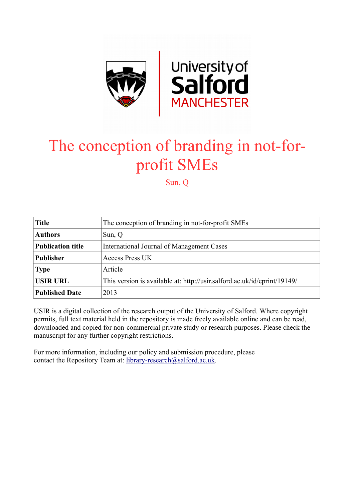

# The conception of branding in not-forprofit SMEs

Sun, Q

| <b>Title</b>             | The conception of branding in not-for-profit SMEs                        |
|--------------------------|--------------------------------------------------------------------------|
| <b>Authors</b>           | Sun, Q                                                                   |
| <b>Publication title</b> | International Journal of Management Cases                                |
| <b>Publisher</b>         | <b>Access Press UK</b>                                                   |
| <b>Type</b>              | Article                                                                  |
| <b>USIR URL</b>          | This version is available at: http://usir.salford.ac.uk/id/eprint/19149/ |
| <b>Published Date</b>    | 2013                                                                     |

USIR is a digital collection of the research output of the University of Salford. Where copyright permits, full text material held in the repository is made freely available online and can be read, downloaded and copied for non-commercial private study or research purposes. Please check the manuscript for any further copyright restrictions.

For more information, including our policy and submission procedure, please contact the Repository Team at: [library-research@salford.ac.uk.](mailto:library-research@salford.ac.uk)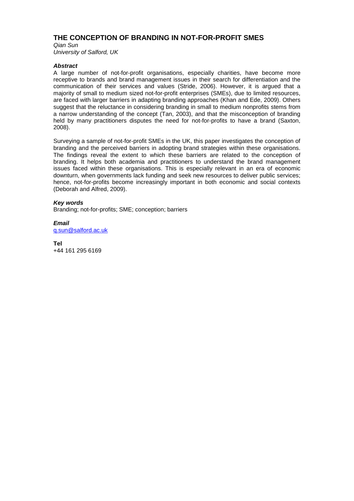## **THE CONCEPTION OF BRANDING IN NOT-FOR-PROFIT SMES**

*Qian Sun University of Salford, UK*

## *Abstract*

A large number of not-for-profit organisations, especially charities, have become more receptive to brands and brand management issues in their search for differentiation and the communication of their services and values (Stride, 2006). However, it is argued that a majority of small to medium sized not-for-profit enterprises (SMEs), due to limited resources, are faced with larger barriers in adapting branding approaches (Khan and Ede, 2009). Others suggest that the reluctance in considering branding in small to medium nonprofits stems from a narrow understanding of the concept (Tan, 2003), and that the misconception of branding held by many practitioners disputes the need for not-for-profits to have a brand (Saxton, 2008).

Surveying a sample of not-for-profit SMEs in the UK, this paper investigates the conception of branding and the perceived barriers in adopting brand strategies within these organisations. The findings reveal the extent to which these barriers are related to the conception of branding. It helps both academia and practitioners to understand the brand management issues faced within these organisations. This is especially relevant in an era of economic downturn, when governments lack funding and seek new resources to deliver public services; hence, not-for-profits become increasingly important in both economic and social contexts (Deborah and Alfred, 2009).

### *Key words*

Branding; not-for-profits; SME; conception; barriers

*Email* [q.sun@salford.ac.uk](mailto:q.sun@salford.ac.uk)

**Tel** +44 161 295 6169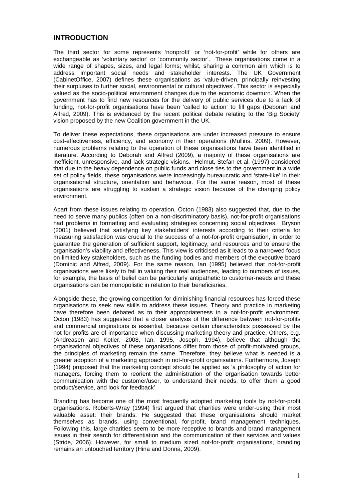## **INTRODUCTION**

The third sector for some represents 'nonprofit' or 'not-for-profit' while for others are exchangeable as 'voluntary sector' or 'community sector'. These organisations come in a wide range of shapes, sizes, and legal forms; whilst, sharing a common aim which is to address important social needs and stakeholder interests. The UK Government (CabinetOffice, 2007) defines these organisations as 'value-driven, principally reinvesting their surpluses to further social, environmental or cultural objectives'. This sector is especially valued as the socio-political environment changes due to the economic downturn. When the government has to find new resources for the delivery of public services due to a lack of funding, not-for-profit organisations have been 'called to action' to fill gaps (Deborah and Alfred, 2009). This is evidenced by the recent political debate relating to the 'Big Society' vision proposed by the new Coalition government in the UK.

To deliver these expectations, these organisations are under increased pressure to ensure cost-effectiveness, efficiency, and economy in their operations (Mullins, 2009). However, numerous problems relating to the operation of these organisations have been identified in literature. According to Deborah and Alfred (2009), a majority of these organisations are inefficient, unresponsive, and lack strategic visions. Helmut, Stefan et al. (1997) considered that due to the heavy dependence on public funds and close ties to the government in a wide set of policy fields, these organisations were increasingly bureaucratic and 'state-like' in their organisational structure, orientation and behaviour. For the same reason, most of these organisations are struggling to sustain a strategic vision because of the changing policy environment.

Apart from these issues relating to operation, Octon (1983) also suggested that, due to the need to serve many publics (often on a non-discriminatory basis), not-for-profit organisations had problems in formatting and evaluating strategies concerning social objectives. Bryson (2001) believed that satisfying key stakeholders' interests according to their criteria for measuring satisfaction was crucial to the success of a not-for-profit organisation, in order to guarantee the generation of sufficient support, legitimacy, and resources and to ensure the organisation's viability and effectiveness. This view is criticised as it leads to a narrowed focus on limited key stakeholders, such as the funding bodies and members of the executive board (Dominic and Alfred, 2009). For the same reason, Ian (1995) believed that not-for-profit organisations were likely to fail in valuing their real audiences, leading to numbers of issues, for example, the basis of belief can be particularly antipathetic to customer-needs and these organisations can be monopolistic in relation to their beneficiaries.

Alongside these, the growing competition for diminishing financial resources has forced these organisations to seek new skills to address these issues. Theory and practice in marketing have therefore been debated as to their appropriateness in a not-for-profit environment. Octon (1983) has suggested that a closer analysis of the difference between not-for-profits and commercial originations is essential, because certain characteristics possessed by the not-for-profits are of importance when discussing marketing theory and practice. Others, e.g. (Andreasen and Kotler, 2008, Ian, 1995, Joseph, 1994), believe that although the organisational objectives of these organisations differ from those of profit-motivated groups, the principles of marketing remain the same. Therefore, they believe what is needed is a greater adoption of a marketing approach in not-for-profit organisations. Furthermore, Joseph (1994) proposed that the marketing concept should be applied as 'a philosophy of action for managers, forcing them to reorient the administration of the organisation towards better communication with the customer/user, to understand their needs, to offer them a good product/service, and look for feedback'.

Branding has become one of the most frequently adopted marketing tools by not-for-profit organisations. Roberts-Wray (1994) first argued that charities were under-using their most valuable asset: their brands. He suggested that these organisations should market themselves as brands, using conventional, for-profit, brand management techniques. Following this, large charities seem to be more receptive to brands and brand management issues in their search for differentiation and the communication of their services and values (Stride, 2006). However, for small to medium sized not-for-profit organisations, branding remains an untouched territory (Hina and Donna, 2009).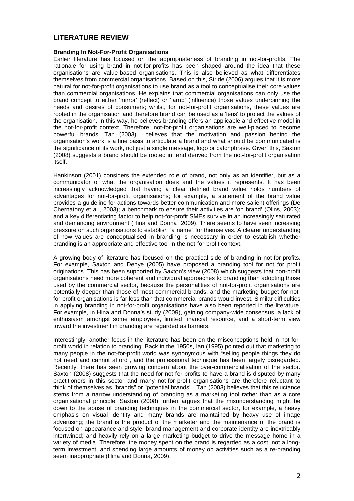## **LITERATURE REVIEW**

### **Branding In Not-For-Profit Organisations**

Earlier literature has focused on the appropriateness of branding in not-for-profits. The rationale for using brand in not-for-profits has been shaped around the idea that these organisations are value-based organisations. This is also believed as what differentiates themselves from commercial organisations. Based on this, Stride (2006) argues that it is more natural for not-for-profit organisations to use brand as a tool to conceptualise their core values than commercial organisations. He explains that commercial organisations can only use the brand concept to either 'mirror' (reflect) or 'lamp' (influence) those values underpinning the needs and desires of consumers; whilst, for not-for-profit organisations, these values are rooted in the organisation and therefore brand can be used as a 'lens' to project the values of the organisation. In this way, he believes branding offers an applicable and effective model in the not-for-profit context. Therefore, not-for-profit organisations are well-placed to become<br>powerful brands. Tan (2003) believes that the motivation and passion behind the believes that the motivation and passion behind the organisation's work is a fine basis to articulate a brand and what should be communicated is the significance of its work, not just a single message, logo or catchphrase. Given this, Saxton (2008) suggests a brand should be rooted in, and derived from the not-for-profit organisation itself.

Hankinson (2001) considers the extended role of brand, not only as an identifier, but as a communicator of what the organisation does and the values it represents. It has been increasingly acknowledged that having a clear defined brand value holds numbers of advantages for not-for-profit organisations; for example, a statement of the brand value provides a guideline for actions towards better communication and more salient offerings (De Chernatony et al., 2003); a benchmark to ensure their activities are 'on brand' (Olins, 2003); and a key differentiating factor to help not-for-profit SMEs survive in an increasingly saturated and demanding environment (Hina and Donna, 2009). There seems to have seen increasing pressure on such organisations to establish "a name" for themselves. A clearer understanding of how values are conceptualised in branding is necessary in order to establish whether branding is an appropriate and effective tool in the not-for-profit context.

A growing body of literature has focused on the practical side of branding in not-for-profits. For example, Saxton and Denye (2005) have proposed a branding tool for not for profit originations. This has been supported by Saxton's view (2008) which suggests that non-profit organisations need more coherent and individual approaches to branding than adopting those used by the commercial sector, because the personalities of not-for-profit organisations are potentially deeper than those of most commercial brands, and the marketing budget for notfor-profit organisations is far less than that commercial brands would invest. Similar difficulties in applying branding in not-for-profit organisations have also been reported in the literature. For example, in Hina and Donna's study (2009), gaining company-wide consensus, a lack of enthusiasm amongst some employees, limited financial resource, and a short-term view toward the investment in branding are regarded as barriers.

Interestingly, another focus in the literature has been on the misconceptions held in not-forprofit world in relation to branding. Back in the 1950s, Ian (1995) pointed out that marketing to many people in the not-for-profit world was synonymous with "selling people things they do not need and cannot afford", and the professional technique has been largely disregarded. Recently, there has seen growing concern about the over-commercialisation of the sector. Saxton (2008) suggests that the need for not-for-profits to have a brand is disputed by many practitioners in this sector and many not-for-profit organisations are therefore reluctant to think of themselves as "brands" or "potential brands". Tan (2003) believes that this reluctance stems from a narrow understanding of branding as a marketing tool rather than as a core organisational principle. Saxton (2008) further argues that the misunderstanding might be down to the abuse of branding techniques in the commercial sector, for example, a heavy emphasis on visual identity and many brands are maintained by heavy use of image advertising; the brand is the product of the marketer and the maintenance of the brand is focused on appearance and style; brand management and corporate identity are inextricably intertwined; and heavily rely on a large marketing budget to drive the message home in a variety of media. Therefore, the money spent on the brand is regarded as a cost, not a longterm investment, and spending large amounts of money on activities such as a re-branding seem inappropriate (Hina and Donna, 2009).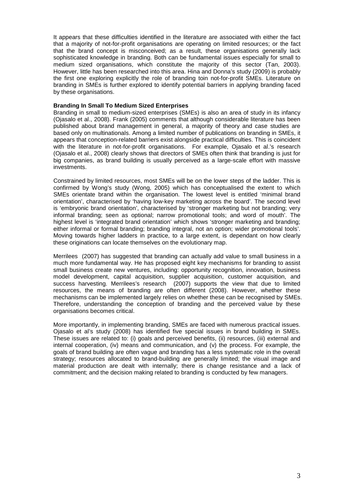It appears that these difficulties identified in the literature are associated with either the fact that a majority of not-for-profit organisations are operating on limited resources; or the fact that the brand concept is misconceived; as a result, these organisations generally lack sophisticated knowledge in branding. Both can be fundamental issues especially for small to medium sized organisations, which constitute the majority of this sector (Tan, 2003). However, little has been researched into this area. Hina and Donna's study (2009) is probably the first one exploring explicitly the role of branding toin not-for-profit SMEs. Literature on branding in SMEs is further explored to identify potential barriers in applying branding faced by these organisations.

#### **Branding In Small To Medium Sized Enterprises**

Branding in small to medium-sized enterprises (SMEs) is also an area of study in its infancy (Ojasalo et al., 2008). Frank (2005) comments that although considerable literature has been published about brand management in general, a majority of theory and case studies are based only on multinationals. Among a limited number of publications on branding in SMEs, it appears that conception-related barriers exist alongside practical difficulties. This is coincident with the literature in not-for-profit organisations. For example, Ojasalo et al.'s research (Ojasalo et al., 2008) clearly shows that directors of SMEs often think that branding is just for big companies, as brand building is usually perceived as a large-scale effort with massive investments.

Constrained by limited resources, most SMEs will be on the lower steps of the ladder. This is confirmed by Wong's study (Wong, 2005) which has conceptualised the extent to which SMEs orientate brand within the organisation. The lowest level is entitled 'minimal brand orientation', characterised by 'having low-key marketing across the board'. The second level is 'embryonic brand orientation', characterised by 'stronger marketing but not branding; very informal branding; seen as optional; narrow promotional tools; and word of mouth'. The highest level is 'integrated brand orientation' which shows 'stronger marketing and branding; either informal or formal branding; branding integral, not an option; wider promotional tools'. Moving towards higher ladders in practice, to a large extent, is dependant on how clearly these originations can locate themselves on the evolutionary map.

Merrilees (2007) has suggested that branding can actually add value to small business in a much more fundamental way. He has proposed eight key mechanisms for branding to assist small business create new ventures, including: opportunity recognition, innovation, business model development, capital acquisition, supplier acquisition, customer acquisition, and success harvesting. Merrilees's research (2007) supports the view that due to limited resources, the means of branding are often different (2008). However, whether these mechanisms can be implemented largely relies on whether these can be recognised by SMEs. Therefore, understanding the conception of branding and the perceived value by these organisations becomes critical.

More importantly, in implementing branding, SMEs are faced with numerous practical issues. Ojasalo et al's study (2008) has identified five special issues in brand building in SMEs. These issues are related to: (i) goals and perceived benefits, (ii) resources, (iii) external and internal cooperation, (iv) means and communication, and (v) the process. For example, the goals of brand building are often vague and branding has a less systematic role in the overall strategy; resources allocated to brand-building are generally limited; the visual image and material production are dealt with internally; there is change resistance and a lack of commitment; and the decision making related to branding is conducted by few managers.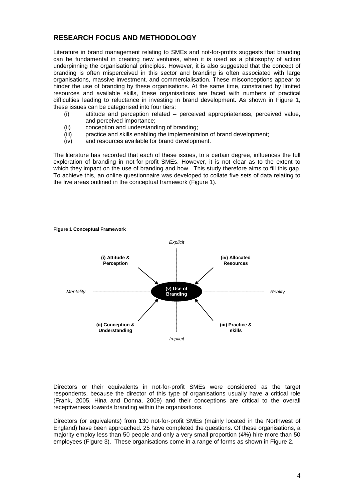# **RESEARCH FOCUS AND METHODOLOGY**

Literature in brand management relating to SMEs and not-for-profits suggests that branding can be fundamental in creating new ventures, when it is used as a philosophy of action underpinning the organisational principles. However, it is also suggested that the concept of branding is often misperceived in this sector and branding is often associated with large organisations, massive investment, and commercialisation. These misconceptions appear to hinder the use of branding by these organisations. At the same time, constrained by limited resources and available skills, these organisations are faced with numbers of practical difficulties leading to reluctance in investing in brand development. As shown in [Figure 1,](#page-5-0) these issues can be categorised into four tiers:

- (i) attitude and perception related perceived appropriateness, perceived value, and perceived importance;
- (ii) conception and understanding of branding;
- (iii) practice and skills enabling the implementation of brand development;
- (iv) and resources available for brand development.

The literature has recorded that each of these issues, to a certain degree, influences the full exploration of branding in not-for-profit SMEs. However, it is not clear as to the extent to which they impact on the use of branding and how. This study therefore aims to fill this gap. To achieve this, an online questionnaire was developed to collate five sets of data relating to the five areas outlined in the conceptual framework [\(Figure 1\)](#page-5-0).



#### <span id="page-5-0"></span>**Figure 1 Conceptual Framework**

Directors or their equivalents in not-for-profit SMEs were considered as the target respondents, because the director of this type of organisations usually have a critical role (Frank, 2005, Hina and Donna, 2009) and their conceptions are critical to the overall receptiveness towards branding within the organisations.

Directors (or equivalents) from 130 not-for-profit SMEs (mainly located in the Northwest of England) have been approached. 25 have completed the questions. Of these organisations, a majority employ less than 50 people and only a very small proportion (4%) hire more than 50 employees [\(Figure 3\)](#page-6-0). These organisations come in a range of forms as shown in [Figure 2.](#page-6-1)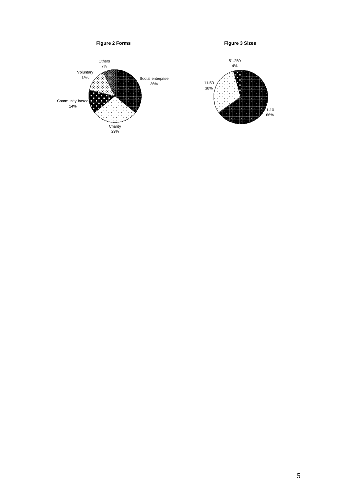<span id="page-6-1"></span><span id="page-6-0"></span>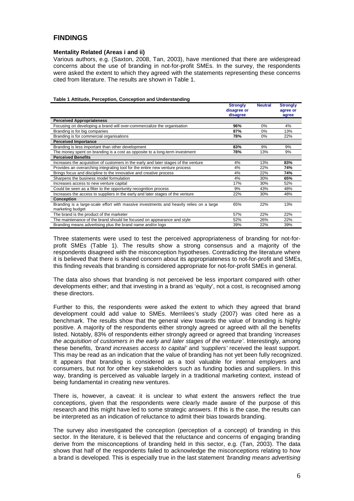## **FINDINGS**

## **Mentality Related (Areas i and ii)**

Various authors, e.g. (Saxton, 2008, Tan, 2003), have mentioned that there are widespread concerns about the use of branding in not-for-profit SMEs. In the survey, the respondents were asked the extent to which they agreed with the statements representing these concerns cited from literature. The results are shown in [Table 1.](#page-7-0)

<span id="page-7-0"></span>

|  | Table 1 Attitude, Perception, Conception and Understanding |
|--|------------------------------------------------------------|
|  |                                                            |

|                                                                                         | <b>Strongly</b><br>disagree or<br>disagree | <b>Neutral</b> | <b>Strongly</b><br>agree or<br>agree |  |
|-----------------------------------------------------------------------------------------|--------------------------------------------|----------------|--------------------------------------|--|
| <b>Perceived Appropriateness</b>                                                        |                                            |                |                                      |  |
| Focusing on developing a brand will over-commercialize the organisation                 | 96%                                        | $0\%$          | 4%                                   |  |
| Branding is for big companies                                                           | 87%                                        | $0\%$          | 13%                                  |  |
| Branding is for commercial organisations                                                | 78%                                        | $0\%$          | 22%                                  |  |
| <b>Perceived Importance</b>                                                             |                                            |                |                                      |  |
| Branding is less important than other development                                       | 83%                                        | 9%             | 9%                                   |  |
| The money spent on branding is a cost as opposite to a long-term investment             | 78%                                        | 13%            | 9%                                   |  |
| <b>Perceived Benefits</b>                                                               |                                            |                |                                      |  |
| Increases the acquisition of customers in the early and later stages of the venture     | 4%                                         | 13%            | 83%                                  |  |
| Provides an overarching integrating tool for the entire new venture process             | 4%                                         | 22%            | 74%                                  |  |
| Brings focus and discipline to the innovative and creative process                      | 4%                                         | 22%            | 74%                                  |  |
| Sharpens the business model formulation                                                 | 4%                                         | 30%            | 65%                                  |  |
| Increases access to new venture capital                                                 | 17%                                        | 30%            | 52%                                  |  |
| Could be seen as a filter to the opportunity recognition process                        | 9%                                         | 43%            | 48%                                  |  |
| Increases the access to suppliers in the early and later stages of the venture          | 22%                                        | 30%            | 48%                                  |  |
| <b>Conception</b>                                                                       |                                            |                |                                      |  |
| Branding is a large-scale effort with massive investments and heavily relies on a large | 65%                                        | 22%            | 13%                                  |  |
| marketing budget                                                                        |                                            |                |                                      |  |
| The brand is the product of the marketer                                                | 57%                                        | 22%            | 22%                                  |  |
| The maintenance of the brand should be focused on appearance and style                  | 52%                                        | 26%            | 22%                                  |  |
| Branding means advertising plus the brand name and/or logo                              | 39%                                        | 22%            | 39%                                  |  |

Three statements were used to test the perceived appropriateness of branding for not-forprofit SMEs [\(Table 1\)](#page-7-0). The results show a strong consensus and a majority of the respondents disagreed with the misconception hypotheses. Contradicting the literature where it is believed that there is shared concern about its appropriateness to not-for-profit and SMEs, this finding reveals that branding is considered appropriate for not-for-profit SMEs in general.

The data also shows that branding is not perceived be less important compared with other developments either; and that investing in a brand as 'equity', not a cost, is recognised among these directors.

Further to this, the respondents were asked the extent to which they agreed that brand development could add value to SMEs. Merrilees's study (2007) was cited here as a benchmark. The results show that the general view towards the value of branding is highly positive. A majority of the respondents either strongly agreed or agreed with all the benefits listed. Notably, 83% of respondents either strongly agreed or agreed that branding *'increases the acquisition of customers in the early and later stages of the venture'*. Interestingly, among these benefits, *'brand increases access to capital'* and *'suppliers'* received the least support. This may be read as an indication that the value of branding has not yet been fully recognized. It appears that branding is considered as a tool valuable for internal employers and consumers, but not for other key stakeholders such as funding bodies and suppliers. In this way, branding is perceived as valuable largely in a traditional marketing context, instead of being fundamental in creating new ventures.

There is, however, a caveat: it is unclear to what extent the answers reflect the true conceptions, given that the respondents were clearly made aware of the purpose of this research and this might have led to some strategic answers. If this is the case, the results can be interpreted as an indication of reluctance to admit their bias towards branding.

The survey also investigated the conception (perception of a concept) of branding in this sector. In the literature, it is believed that the reluctance and concerns of engaging branding derive from the misconceptions of branding held in this sector, e.g. (Tan, 2003). The data shows that half of the respondents failed to acknowledge the misconceptions relating to how a brand is developed*.* This is especially true in the last statement *'branding means advertising*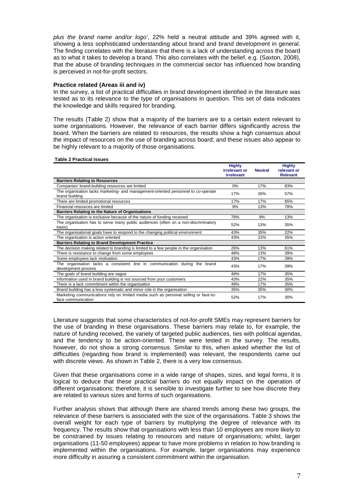*plus the brand name and/or logo'*, 22% held a neutral attitude and 39% agreed with it, showing a less sophisticated understanding about brand and brand development in general. The finding correlates with the literature that there is a lack of understanding across the board as to what it takes to develop a brand. This also correlates with the belief, e.g. (Saxton, 2008), that the abuse of branding techniques in the commercial sector has influenced how branding is perceived in not-for-profit sectors.

#### **Practice related (Areas iii and iv)**

In the survey, a list of practical difficulties in brand development identified in the literature was tested as to its relevance to the type of organisations in question. This set of data indicates the knowledge and skills required for branding.

The results [\(Table 2\)](#page-8-0) show that a majority of the barriers are to a certain extent relevant to some organisations. However, the relevance of each barrier differs significantly across the board. When the barriers are related to resources, the results show a high consensus about the impact of resources on the use of branding across board; and these issues also appear to be highly relevant to a majority of those organisations.

#### <span id="page-8-0"></span>**Table 2 Practical Issues**

|                                                                                                           | <b>Highly</b><br>irrelevant or<br><b>Irrelevant</b> | <b>Neutral</b> | <b>Highly</b><br>relevant or<br><b>Relevant</b> |
|-----------------------------------------------------------------------------------------------------------|-----------------------------------------------------|----------------|-------------------------------------------------|
| <b>Barriers Relating to Resources</b>                                                                     |                                                     |                |                                                 |
| Companies' brand-building resources are limited                                                           | 0%                                                  | 17%            | 83%                                             |
| The organisation lacks marketing- and management-oriented personnel to co-operate<br>brand building       | 17%                                                 | 26%            | 57%                                             |
| There are limited promotional resources                                                                   | 17%                                                 | 17%            | 65%                                             |
| Financial resources are limited                                                                           | 9%                                                  | 13%            | 78%                                             |
| Barriers Relating to the Nature of Organisations                                                          |                                                     |                |                                                 |
| The organisation is exclusive because of the nature of funding received                                   | 78%                                                 | 9%             | 13%                                             |
| The organisation has to serve many public audiences (often on a non-discriminatory<br>basis)              | 52%                                                 | 13%            | 35%                                             |
| The organisational goals have to respond to the changing political environment                            | 43%                                                 | 35%            | 22%                                             |
| The organisation is action oriented                                                                       | 43%                                                 | 22%            | 35%                                             |
| <b>Barriers Relating to Brand Development Practice</b>                                                    |                                                     |                |                                                 |
| The decision making related to branding is limited to a few people in the organisation                    | 26%                                                 | 13%            | 61%                                             |
| There is resistance to change from some employees                                                         | 48%                                                 | 13%            | 39%                                             |
| Some employees lack motivation                                                                            | 43%                                                 | 17%            | 39%                                             |
| The organisation lacks a consistent line in communication during the<br>brand<br>development process      | 43%                                                 | 17%            | 39%                                             |
| The goals of brand building are vague                                                                     | 48%                                                 | 17%            | 35%                                             |
| Information used in brand building is not sourced from your customers                                     | 43%                                                 | 22%            | 35%                                             |
| There is a lack commitment within the organisation                                                        | 48%                                                 | 17%            | 35%                                             |
| Brand building has a less systematic and minor role in the organisation                                   | 35%                                                 | 35%            | 30%                                             |
| Marketing communications rely on limited media such as personal selling or face-to-<br>face communication | 52%                                                 | 17%            | 30%                                             |

Literature suggests that some characteristics of not-for-profit SMEs may represent barriers for the use of branding in these organisations. These barriers may relate to, for example, the nature of funding received, the variety of targeted public audiences, ties with political agendas, and the tendency to be action-oriented. These were tested in the survey. The results, however, do not show a strong consensus. Similar to this, when asked whether the list of difficulties (regarding how brand is implemented) was relevant, the respondents came out with discrete views. As shown in [Table 2,](#page-8-0) there is a very low consensus.

Given that these organisations come in a wide range of shapes, sizes, and legal forms, it is logical to deduce that these practical barriers do not equally impact on the operation of different organisations; therefore, it is sensible to investigate further to see how discrete they are related to various sizes and forms of such organisations.

Further analysis shows that although there are shared trends among these two groups, the relevance of these barriers is associated with the size of the organisations. [Table 3](#page-9-0) shows the overall weight for each type of barriers by multiplying the degree of relevance with its frequency. The results show that organisations with less than 10 employees are more likely to be constrained by issues relating to resources and nature of organisations; whilst, larger organisations (11-50 employees) appear to have more problems in relation to how branding is implemented within the organisations. For example, larger organisations may experience more difficulty in assuring a consistent commitment within the organisation.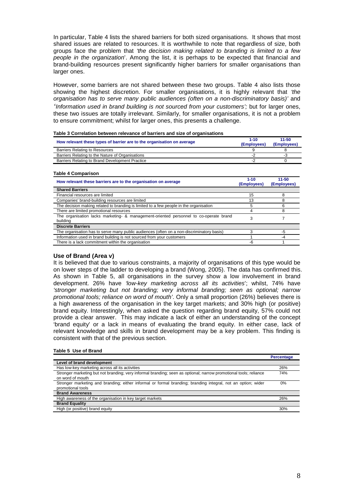In particular, [Table 4](#page-9-1) lists the shared barriers for both sized organisations. It shows that most shared issues are related to resources. It is worthwhile to note that regardless of size, both groups face the problem that *'the decision making related to branding is limited to a few people in the organization*'. Among the list, it is perhaps to be expected that financial and brand-building resources present significantly higher barriers for smaller organisations than larger ones.

However, some barriers are not shared between these two groups. [Table 4](#page-9-1) also lists those showing the highest discretion. For smaller organisations, it is highly relevant that *'the organisation has to serve many public audiences (often on a non-discriminatory basis)'* and *'Information used in brand building is not sourced from your customers';* but for larger ones, these two issues are totally irrelevant. Similarly, for smaller organisations, it is not a problem to ensure commitment; whilst for larger ones, this presents a challenge.

<span id="page-9-0"></span>

| How relevant these types of barrier are to the organisation on average | 1-10<br>(Employees) | 11-50<br>(Employees) |
|------------------------------------------------------------------------|---------------------|----------------------|
| <b>Barriers Relating to Resources</b>                                  |                     |                      |
| Barriers Relating to the Nature of Organisations                       | . .                 | - 1                  |
| Barriers Relating to Brand Development Practice                        | . .                 |                      |

#### <span id="page-9-1"></span>**Table 4 Comparison**

| How relevant these barriers are to the organisation on average                                    | $1 - 10$<br>(Employees) | 11-50<br>(Employees) |
|---------------------------------------------------------------------------------------------------|-------------------------|----------------------|
| <b>Shared Barriers</b>                                                                            |                         |                      |
| Financial resources are limited                                                                   | 15                      |                      |
| Companies' brand-building resources are limited                                                   | 13                      |                      |
| The decision making related to branding is limited to a few people in the organisation            |                         |                      |
| There are limited promotional resources                                                           | 4                       | 8                    |
| The organisation lacks marketing- & management-oriented personnel to co-operate brand<br>building | 3                       |                      |
| <b>Discrete Barriers</b>                                                                          |                         |                      |
| The organisation has to serve many public audiences (often on a non-discriminatory basis)         |                         | -5                   |
| Information used in brand building is not sourced from your customers                             |                         | -4                   |
| There is a lack commitment within the organisation                                                | -6                      |                      |

### **Use of Brand (Area v)**

It is believed that due to various constraints, a majority of organisations of this type would be on lower steps of the ladder to developing a brand (Wong, 2005). The data has confirmed this. As shown in [Table 5,](#page-9-2) all organisations in the survey show a low involvement in brand development. 26% have *'low-key marketing across all its activities*'; whilst, 74% have *'stronger marketing but not branding; very informal branding; seen as optional; narrow promotional tools; reliance on word of mouth'*. Only a small proportion (26%) believes there is a high awareness of the organisation in the key target markets; and 30% high (or positive) brand equity. Interestingly, when asked the question regarding brand equity, 57% could not provide a clear answer. This may indicate a lack of either an understanding of the concept 'brand equity' or a lack in means of evaluating the brand equity. In either case, lack of relevant knowledge and skills in brand development may be a key problem. This finding is consistent with that of the previous section.

#### <span id="page-9-2"></span>**Table 5 Use of Brand**

|                                                                                                                                       | <b>Percentage</b> |
|---------------------------------------------------------------------------------------------------------------------------------------|-------------------|
| Level of brand development                                                                                                            |                   |
| Has low-key marketing across all its activities                                                                                       | 26%               |
| Stronger marketing but not branding; very informal branding; seen as optional; narrow promotional tools; reliance<br>on word of mouth | 74%               |
| Stronger marketing and branding; either informal or formal branding; branding integral, not an option; wider<br>promotional tools     | 0%                |
| <b>Brand Awareness</b>                                                                                                                |                   |
| High awareness of the organisation in key target markets                                                                              | 26%               |
| <b>Brand Equality</b>                                                                                                                 |                   |
| High (or positive) brand equity                                                                                                       | 30%               |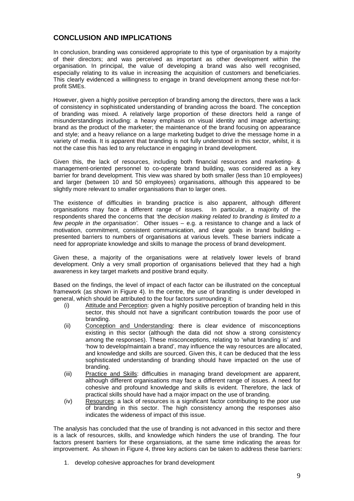## **CONCLUSION AND IMPLICATIONS**

In conclusion, branding was considered appropriate to this type of organisation by a majority of their directors; and was perceived as important as other development within the organisation. In principal, the value of developing a brand was also well recognised, especially relating to its value in increasing the acquisition of customers and beneficiaries. This clearly evidenced a willingness to engage in brand development among these not-forprofit SMEs.

However, given a highly positive perception of branding among the directors, there was a lack of consistency in sophisticated understanding of branding across the board. The conception of branding was mixed. A relatively large proportion of these directors held a range of misunderstandings including: a heavy emphasis on visual identity and image advertising; brand as the product of the marketer; the maintenance of the brand focusing on appearance and style; and a heavy reliance on a large marketing budget to drive the message home in a variety of media. It is apparent that branding is not fully understood in this sector, whilst, it is not the case this has led to any reluctance in engaging in brand development.

Given this, the lack of resources, including both financial resources and marketing- & management-oriented personnel to co-operate brand building, was considered as a key barrier for brand development. This view was shared by both smaller (less than 10 employees) and larger (between 10 and 50 employees) organisations, although this appeared to be slightly more relevant to smaller organisations than to larger ones.

The existence of difficulties in branding practice is also apparent, although different organisations may face a different range of issues. In particular, a majority of the respondents shared the concerns that *'the decision making related to branding is limited to a few people in the organisation'.* Other issues – e.g. a resistance to change and a lack of motivation, commitment, consistent communication, and clear goals in brand building presented barriers to numbers of organisations at various levels. These barriers indicate a need for appropriate knowledge and skills to manage the process of brand development.

Given these, a majority of the organisations were at relatively lower levels of brand development. Only a very small proportion of organisations believed that they had a high awareness in key target markets and positive brand equity.

Based on the findings, the level of impact of each factor can be illustrated on the conceptual framework (as shown in [Figure 4\)](#page-11-0). In the centre, the use of branding is under developed in general, which should be attributed to the four factors surrounding it:

- (i) Attitude and Perception: given a highly positive perception of branding held in this sector, this should not have a significant contribution towards the poor use of branding.
- (ii) Conception and Understanding : there is clear evidence of misconceptions existing in this sector (although the data did not show a strong consistency among the responses). These misconceptions, relating to 'what branding is' and 'how to develop/maintain a brand', may influence the way resources are allocated, and knowledge and skills are sourced. Given this, it can be deduced that the less sophisticated understanding of branding should have impacted on the use of branding.
- (iii) Practice and Skills: difficulties in managing brand development are apparent, although different organisations may face a different range of issues. A need for cohesive and profound knowledge and skills is evident. Therefore, the lack of practical skills should have had a major impact on the use of branding.
- (iv) Resources: a lack of resources is a significant factor contributing to the poor use of branding in this sector. The high consistency among the responses also indicates the wideness of impact of this issue.

The analysis has concluded that the use of branding is not advanced in this sector and there is a lack of resources, skills, and knowledge which hinders the use of branding. The four factors present barriers for these organsiations, at the same time indicating the areas for improvement. As shown in [Figure 4,](#page-11-0) three key actions can be taken to address these barriers:

1. develop cohesive approaches for brand development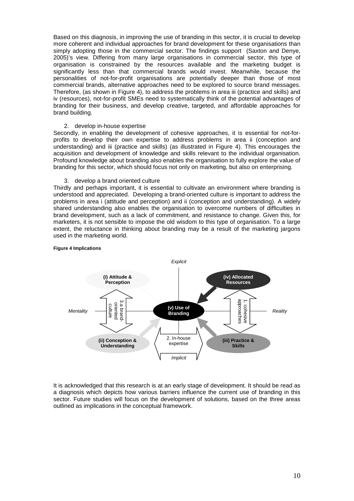Based on this diagnosis, in improving the use of branding in this sector, it is crucial to develop more coherent and individual approaches for brand development for these organisations than simply adopting those in the commercial sector. The findings support (Saxton and Denye, 2005)'s view. Differing from many large organisations in commercial sector, this type of organisation is constrained by the resources available and the marketing budget is significantly less than that commercial brands would invest. Meanwhile, because the personalities of not-for-profit organisations are potentially deeper than those of most commercial brands, alternative approaches need to be explored to source brand messages. Therefore, (as shown in [Figure 4\)](#page-11-0), to address the problems in area iii (practice and skills) and iv (resources), not-for-profit SMEs need to systematically think of the potential advantages of branding for their business, and develop creative, targeted, and affordable approaches for brand building.

#### 2. develop in-house expertise

Secondly, in enabling the development of cohesive approaches, it is essential for not-forprofits to develop their own expertise to address problems in area ii (conception and understanding) and iii (practice and skills) (as illustrated in [Figure 4\)](#page-11-0). This encourages the acquisition and development of knowledge and skills relevant to the individual organisation. Profound knowledge about branding also enables the organisation to fully explore the value of branding for this sector, which should focus not only on marketing, but also on enterprising.

#### 3. develop a brand oriented culture

Thirdly and perhaps important, it is essential to cultivate an environment where branding is understood and appreciated. Developing a brand-oriented culture is important to address the problems in area i (attitude and perception) and ii (conception and understanding). A widely shared understanding also enables the organisation to overcome numbers of difficulties in brand development, such as a lack of commitment, and resistance to change. Given this, for marketers, it is not sensible to impose the old wisdom to this type of organisation. To a large extent, the reluctance in thinking about branding may be a result of the marketing jargons used in the marketing world.



#### <span id="page-11-0"></span>**Figure 4 Implications**

It is acknowledged that this research is at an early stage of development. It should be read as a diagnosis which depicts how various barriers influence the current use of branding in this sector. Future studies will focus on the development of solutions, based on the three areas outlined as implications in the conceptual framework.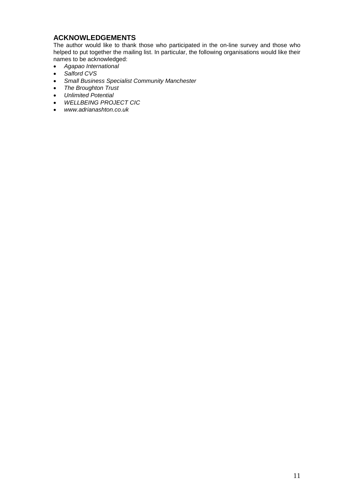# **ACKNOWLEDGEMENTS**

The author would like to thank those who participated in the on-line survey and those who helped to put together the mailing list. In particular, the following organisations would like their names to be acknowledged:

- *Agapao International*
- *Salford CVS*
- *Small Business Specialist Community Manchester*
- *The Broughton Trust*
- *Unlimited Potential*
- *WELLBEING PROJECT CIC*
- *www.adrianashton.co.uk*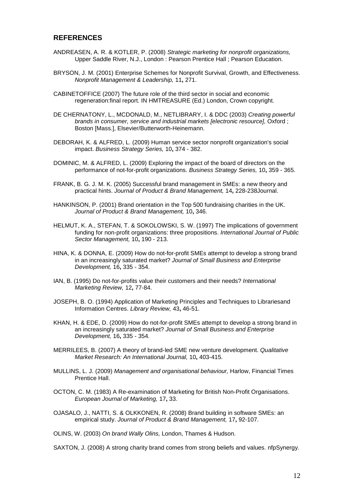## **REFERENCES**

- ANDREASEN, A. R. & KOTLER, P. (2008) *Strategic marketing for nonprofit organizations,*  Upper Saddle River, N.J., London : Pearson Prentice Hall ; Pearson Education.
- BRYSON, J. M. (2001) Enterprise Schemes for Nonprofit Survival, Growth, and Effectiveness. *Nonprofit Management & Leadership,* 11**,** 271.
- CABINETOFFICE (2007) The future role of the third sector in social and economic regeneration:final report. IN HMTREASURE (Ed.) London, Crown copyright.
- DE CHERNATONY, L., MCDONALD, M., NETLIBRARY, I. & DDC (2003) *Creating powerful brands in consumer, service and industrial markets [electronic resource],* Oxford ; Boston [Mass.], Elsevier/Butterworth-Heinemann.
- DEBORAH, K. & ALFRED, L. (2009) Human service sector nonprofit organization's social impact. *Business Strategy Series,* 10**,** 374 - 382.
- DOMINIC, M. & ALFRED, L. (2009) Exploring the impact of the board of directors on the performance of not-for-profit organizations. *Business Strategy Series,* 10**,** 359 - 365.
- FRANK, B. G. J. M. K. (2005) Successful brand management in SMEs: a new theory and practical hints. *Journal of Product & Brand Management,* 14**,** 228-238Journal.
- HANKINSON, P. (2001) Brand orientation in the Top 500 fundraising charities in the UK. *Journal of Product & Brand Management,* 10**,** 346.
- HELMUT, K. A., STEFAN, T. & SOKOLOWSKI, S. W. (1997) The implications of government funding for non-profit organizations: three propositions. *International Journal of Public Sector Management,* 10**,** 190 - 213.
- HINA, K. & DONNA, E. (2009) How do not-for-profit SMEs attempt to develop a strong brand in an increasingly saturated market? *Journal of Small Business and Enterprise Development,* 16**,** 335 - 354.
- IAN, B. (1995) Do not-for-profits value their customers and their needs? *International Marketing Review,* 12**,** 77-84.
- JOSEPH, B. O. (1994) Application of Marketing Principles and Techniques to Librariesand Information Centres. *Library Review,* 43**,** 46-51.
- KHAN, H. & EDE, D. (2009) How do not-for-profit SMEs attempt to develop a strong brand in an increasingly saturated market? *Journal of Small Business and Enterprise Development,* 16**,** 335 - 354.
- MERRILEES, B. (2007) A theory of brand-led SME new venture development. *Qualitative Market Research: An International Journal,* 10**,** 403-415.
- MULLINS, L. J. (2009) *Management and organisational behaviour,* Harlow, Financial Times Prentice Hall.
- OCTON, C. M. (1983) A Re-examination of Marketing for British Non-Profit Organisations. *European Journal of Marketing,* 17**,** 33.
- OJASALO, J., NATTI, S. & OLKKONEN, R. (2008) Brand building in software SMEs: an empirical study. *Journal of Product & Brand Management,* 17**,** 92-107.

OLINS, W. (2003) *On brand Wally Olins,* London, Thames & Hudson.

SAXTON, J. (2008) A strong charity brand comes from strong beliefs and values. nfpSynergy.